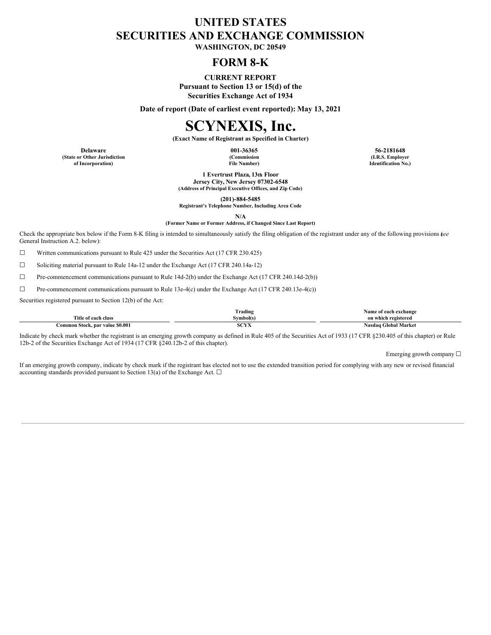## **UNITED STATES SECURITIES AND EXCHANGE COMMISSION**

**WASHINGTON, DC 20549**

## **FORM 8-K**

#### **CURRENT REPORT**

**Pursuant to Section 13 or 15(d) of the Securities Exchange Act of 1934**

**Date of report (Date of earliest event reported): May 13, 2021**

# **SCYNEXIS, Inc.**

**(Exact Name of Registrant as Specified in Charter)**

**(State or Other Jurisdiction of Incorporation)**

**(Commission File Number)**

**Delaware 001-36365 56-2181648 (I.R.S. Employer Identification No.)**

> **1 Evertrust Plaza, 13th Floor Jersey City, New Jersey 07302-6548 (Address of Principal Executive Offices, and Zip Code)**

> > **(201)-884-5485**

**Registrant's Telephone Number, Including Area Code**

**N/A**

#### **(Former Name or Former Address, if Changed Since Last Report)**

Check the appropriate box below if the Form 8-K filing is intended to simultaneously satisfy the filing obligation of the registrant under any of the following provisions (*see* General Instruction A.2. below):

☐ Written communications pursuant to Rule 425 under the Securities Act (17 CFR 230.425)

☐ Soliciting material pursuant to Rule 14a-12 under the Exchange Act (17 CFR 240.14a-12)

☐ Pre-commencement communications pursuant to Rule 14d-2(b) under the Exchange Act (17 CFR 240.14d-2(b))

☐ Pre-commencement communications pursuant to Rule 13e-4(c) under the Exchange Act (17 CFR 240.13e-4(c))

Securities registered pursuant to Section 12(b) of the Act:

|                                 | $\sim$<br>frading | Name of each exchange |
|---------------------------------|-------------------|-----------------------|
| Title of each class             | $\gamma$ vmbol(s) | on which registered   |
| Common Stock, par value \$0.001 | 0.0373<br>SUYA    | Nasdag Global Market  |

Indicate by check mark whether the registrant is an emerging growth company as defined in Rule 405 of the Securities Act of 1933 (17 CFR §230.405 of this chapter) or Rule 12b-2 of the Securities Exchange Act of 1934 (17 CFR §240.12b-2 of this chapter).

Emerging growth company  $\Box$ 

If an emerging growth company, indicate by check mark if the registrant has elected not to use the extended transition period for complying with any new or revised financial accounting standards provided pursuant to Section 13(a) of the Exchange Act.  $\Box$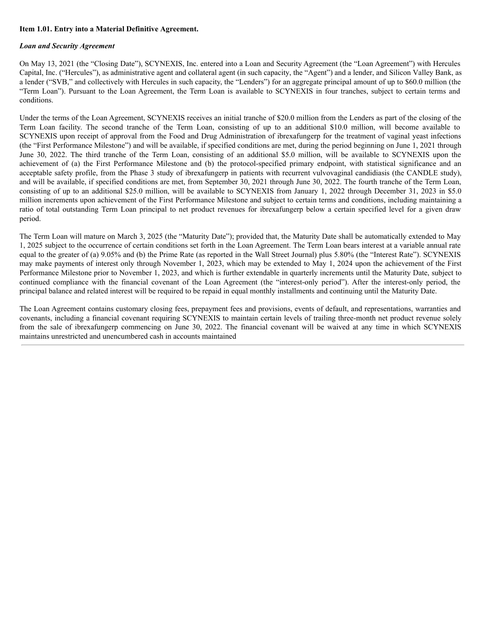#### **Item 1.01. Entry into a Material Definitive Agreement.**

#### *Loan and Security Agreement*

On May 13, 2021 (the "Closing Date"), SCYNEXIS, Inc. entered into a Loan and Security Agreement (the "Loan Agreement") with Hercules Capital, Inc. ("Hercules"), as administrative agent and collateral agent (in such capacity, the "Agent") and a lender, and Silicon Valley Bank, as a lender ("SVB," and collectively with Hercules in such capacity, the "Lenders") for an aggregate principal amount of up to \$60.0 million (the "Term Loan"). Pursuant to the Loan Agreement, the Term Loan is available to SCYNEXIS in four tranches, subject to certain terms and conditions.

Under the terms of the Loan Agreement, SCYNEXIS receives an initial tranche of \$20.0 million from the Lenders as part of the closing of the Term Loan facility. The second tranche of the Term Loan, consisting of up to an additional \$10.0 million, will become available to SCYNEXIS upon receipt of approval from the Food and Drug Administration of ibrexafungerp for the treatment of vaginal yeast infections (the "First Performance Milestone") and will be available, if specified conditions are met, during the period beginning on June 1, 2021 through June 30, 2022. The third tranche of the Term Loan, consisting of an additional \$5.0 million, will be available to SCYNEXIS upon the achievement of (a) the First Performance Milestone and (b) the protocol-specified primary endpoint, with statistical significance and an acceptable safety profile, from the Phase 3 study of ibrexafungerp in patients with recurrent vulvovaginal candidiasis (the CANDLE study), and will be available, if specified conditions are met, from September 30, 2021 through June 30, 2022. The fourth tranche of the Term Loan, consisting of up to an additional \$25.0 million, will be available to SCYNEXIS from January 1, 2022 through December 31, 2023 in \$5.0 million increments upon achievement of the First Performance Milestone and subject to certain terms and conditions, including maintaining a ratio of total outstanding Term Loan principal to net product revenues for ibrexafungerp below a certain specified level for a given draw period.

The Term Loan will mature on March 3, 2025 (the "Maturity Date"); provided that, the Maturity Date shall be automatically extended to May 1, 2025 subject to the occurrence of certain conditions set forth in the Loan Agreement. The Term Loan bears interest at a variable annual rate equal to the greater of (a) 9.05% and (b) the Prime Rate (as reported in the Wall Street Journal) plus 5.80% (the "Interest Rate"). SCYNEXIS may make payments of interest only through November 1, 2023, which may be extended to May 1, 2024 upon the achievement of the First Performance Milestone prior to November 1, 2023, and which is further extendable in quarterly increments until the Maturity Date, subject to continued compliance with the financial covenant of the Loan Agreement (the "interest-only period"). After the interest-only period, the principal balance and related interest will be required to be repaid in equal monthly installments and continuing until the Maturity Date.

The Loan Agreement contains customary closing fees, prepayment fees and provisions, events of default, and representations, warranties and covenants, including a financial covenant requiring SCYNEXIS to maintain certain levels of trailing three-month net product revenue solely from the sale of ibrexafungerp commencing on June 30, 2022. The financial covenant will be waived at any time in which SCYNEXIS maintains unrestricted and unencumbered cash in accounts maintained